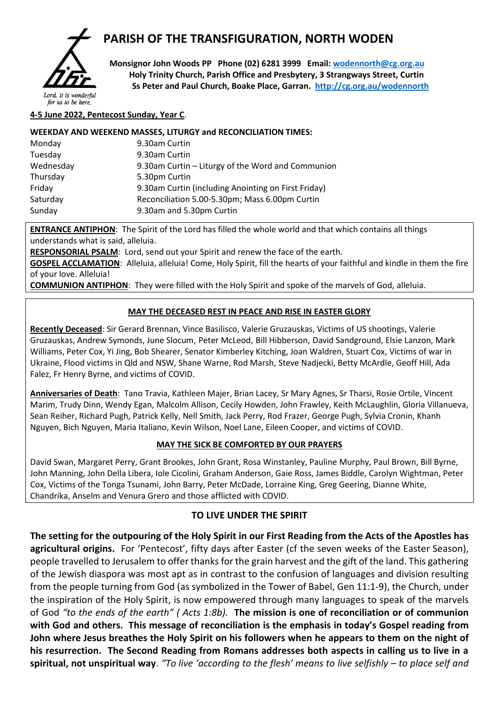

# **PARISH OF THE TRANSFIGURATION, NORTH WODEN**

 **Monsignor John Woods PP Phone (02) 6281 3999 Email: [wodennorth@cg.org.au](mailto:wodennorth@cg.org.au) Holy Trinity Church, Parish Office and Presbytery, 3 Strangways Street, Curtin Ss Peter and Paul Church, Boake Place, Garran. <http://cg.org.au/wodennorth>**

for us to be here.

#### **4-5 June 2022, Pentecost Sunday, Year C**.

#### **WEEKDAY AND WEEKEND MASSES, LITURGY and RECONCILIATION TIMES:**

| Monday    | 9.30am Curtin                                       |
|-----------|-----------------------------------------------------|
| Tuesday   | 9.30am Curtin                                       |
| Wednesday | 9.30am Curtin – Liturgy of the Word and Communion   |
| Thursday  | 5.30pm Curtin                                       |
| Friday    | 9.30am Curtin (including Anointing on First Friday) |
| Saturday  | Reconciliation 5.00-5.30pm; Mass 6.00pm Curtin      |
| Sunday    | 9.30am and 5.30pm Curtin                            |

**ENTRANCE ANTIPHON**: The Spirit of the Lord has filled the whole world and that which contains all things understands what is said, alleluia.

**RESPONSORIAL PSALM**: Lord, send out your Spirit and renew the face of the earth.

**GOSPEL ACCLAMATION:** Alleluia, alleluia! Come, Holy Spirit, fill the hearts of your faithful and kindle in them the fire of your love. Alleluia!

**COMMUNION ANTIPHON**: They were filled with the Holy Spirit and spoke of the marvels of God, alleluia.

### **MAY THE DECEASED REST IN PEACE AND RISE IN EASTER GLORY**

**Recently Deceased**: Sir Gerard Brennan, Vince Basilisco, Valerie Gruzauskas, Victims of US shootings, Valerie Gruzauskas, Andrew Symonds, June Slocum, Peter McLeod, Bill Hibberson, David Sandground, Elsie Lanzon, Mark Williams, Peter Cox, Yi Jing, Bob Shearer, Senator Kimberley Kitching, Joan Waldren, Stuart Cox, Victims of war in Ukraine, Flood victims in Qld and NSW, Shane Warne, Rod Marsh, Steve Nadjecki, Betty McArdle, Geoff Hill, Ada Falez, Fr Henry Byrne, and victims of COVID.

**Anniversaries of Death**: Tano Travia, Kathleen Majer, Brian Lacey, Sr Mary Agnes, Sr Tharsi, Rosie Ortile, Vincent Marim, Trudy Dinn, Wendy Egan, Malcolm Allison, Cecily Howden, John Frawley, Keith McLaughlin, Gloria Villanueva, Sean Reiher, Richard Pugh, Patrick Kelly, Nell Smith, Jack Perry, Rod Frazer, George Pugh, Sylvia Cronin, Khanh Nguyen, Bich Nguyen, Maria Italiano, Kevin Wilson, Noel Lane, Eileen Cooper, and victims of COVID.

## **MAY THE SICK BE COMFORTED BY OUR PRAYERS**

David Swan, Margaret Perry, Grant Brookes, John Grant, Rosa Winstanley, Pauline Murphy, Paul Brown, Bill Byrne, John Manning, John Della Libera, Iole Cicolini, Graham Anderson, Gaie Ross, James Biddle, Carolyn Wightman, Peter Cox, Victims of the Tonga Tsunami, John Barry, Peter McDade, Lorraine King, Greg Geering, Dianne White, Chandrika, Anselm and Venura Grero and those afflicted with COVID.

## **TO LIVE UNDER THE SPIRIT**

**The setting for the outpouring of the Holy Spirit in our First Reading from the Acts of the Apostles has agricultural origins.** For 'Pentecost', fifty days after Easter (cf the seven weeks of the Easter Season), people travelled to Jerusalem to offer thanks for the grain harvest and the gift of the land. This gathering of the Jewish diaspora was most apt as in contrast to the confusion of languages and division resulting from the people turning from God (as symbolized in the Tower of Babel, Gen 11:1-9), the Church, under the inspiration of the Holy Spirit, is now empowered through many languages to speak of the marvels of God *"to the ends of the earth" ( Acts 1:8b).* **The mission is one of reconciliation or of communion with God and others. This message of reconciliation is the emphasis in today's Gospel reading from John where Jesus breathes the Holy Spirit on his followers when he appears to them on the night of his resurrection. The Second Reading from Romans addresses both aspects in calling us to live in a spiritual, not unspiritual way**. *"To live 'according to the flesh' means to live selfishly – to place self and*